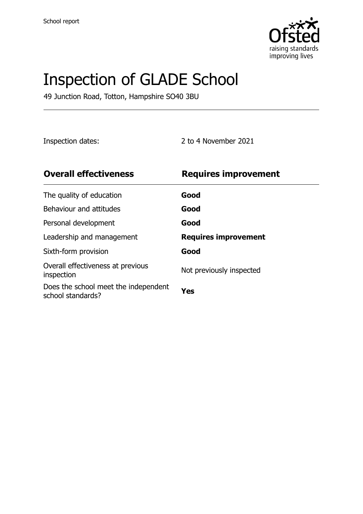

# Inspection of GLADE School

49 Junction Road, Totton, Hampshire SO40 3BU

Inspection dates: 2 to 4 November 2021

| <b>Overall effectiveness</b>                              | <b>Requires improvement</b> |
|-----------------------------------------------------------|-----------------------------|
| The quality of education                                  | Good                        |
| Behaviour and attitudes                                   | Good                        |
| Personal development                                      | Good                        |
| Leadership and management                                 | <b>Requires improvement</b> |
| Sixth-form provision                                      | Good                        |
| Overall effectiveness at previous<br>inspection           | Not previously inspected    |
| Does the school meet the independent<br>school standards? | Yes                         |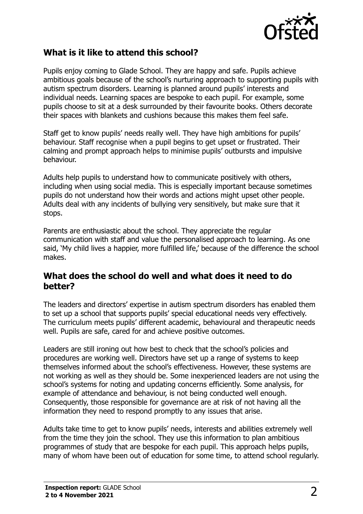

#### **What is it like to attend this school?**

Pupils enjoy coming to Glade School. They are happy and safe. Pupils achieve ambitious goals because of the school's nurturing approach to supporting pupils with autism spectrum disorders. Learning is planned around pupils' interests and individual needs. Learning spaces are bespoke to each pupil. For example, some pupils choose to sit at a desk surrounded by their favourite books. Others decorate their spaces with blankets and cushions because this makes them feel safe.

Staff get to know pupils' needs really well. They have high ambitions for pupils' behaviour. Staff recognise when a pupil begins to get upset or frustrated. Their calming and prompt approach helps to minimise pupils' outbursts and impulsive behaviour.

Adults help pupils to understand how to communicate positively with others, including when using social media. This is especially important because sometimes pupils do not understand how their words and actions might upset other people. Adults deal with any incidents of bullying very sensitively, but make sure that it stops.

Parents are enthusiastic about the school. They appreciate the regular communication with staff and value the personalised approach to learning. As one said, 'My child lives a happier, more fulfilled life,' because of the difference the school makes.

#### **What does the school do well and what does it need to do better?**

The leaders and directors' expertise in autism spectrum disorders has enabled them to set up a school that supports pupils' special educational needs very effectively. The curriculum meets pupils' different academic, behavioural and therapeutic needs well. Pupils are safe, cared for and achieve positive outcomes.

Leaders are still ironing out how best to check that the school's policies and procedures are working well. Directors have set up a range of systems to keep themselves informed about the school's effectiveness. However, these systems are not working as well as they should be. Some inexperienced leaders are not using the school's systems for noting and updating concerns efficiently. Some analysis, for example of attendance and behaviour, is not being conducted well enough. Consequently, those responsible for governance are at risk of not having all the information they need to respond promptly to any issues that arise.

Adults take time to get to know pupils' needs, interests and abilities extremely well from the time they join the school. They use this information to plan ambitious programmes of study that are bespoke for each pupil. This approach helps pupils, many of whom have been out of education for some time, to attend school regularly.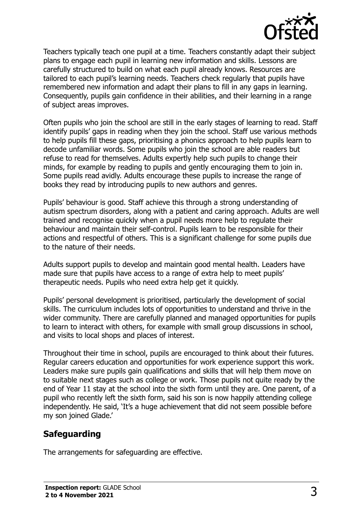

Teachers typically teach one pupil at a time. Teachers constantly adapt their subject plans to engage each pupil in learning new information and skills. Lessons are carefully structured to build on what each pupil already knows. Resources are tailored to each pupil's learning needs. Teachers check regularly that pupils have remembered new information and adapt their plans to fill in any gaps in learning. Consequently, pupils gain confidence in their abilities, and their learning in a range of subject areas improves.

Often pupils who join the school are still in the early stages of learning to read. Staff identify pupils' gaps in reading when they join the school. Staff use various methods to help pupils fill these gaps, prioritising a phonics approach to help pupils learn to decode unfamiliar words. Some pupils who join the school are able readers but refuse to read for themselves. Adults expertly help such pupils to change their minds, for example by reading to pupils and gently encouraging them to join in. Some pupils read avidly. Adults encourage these pupils to increase the range of books they read by introducing pupils to new authors and genres.

Pupils' behaviour is good. Staff achieve this through a strong understanding of autism spectrum disorders, along with a patient and caring approach. Adults are well trained and recognise quickly when a pupil needs more help to regulate their behaviour and maintain their self-control. Pupils learn to be responsible for their actions and respectful of others. This is a significant challenge for some pupils due to the nature of their needs.

Adults support pupils to develop and maintain good mental health. Leaders have made sure that pupils have access to a range of extra help to meet pupils' therapeutic needs. Pupils who need extra help get it quickly.

Pupils' personal development is prioritised, particularly the development of social skills. The curriculum includes lots of opportunities to understand and thrive in the wider community. There are carefully planned and managed opportunities for pupils to learn to interact with others, for example with small group discussions in school, and visits to local shops and places of interest.

Throughout their time in school, pupils are encouraged to think about their futures. Regular careers education and opportunities for work experience support this work. Leaders make sure pupils gain qualifications and skills that will help them move on to suitable next stages such as college or work. Those pupils not quite ready by the end of Year 11 stay at the school into the sixth form until they are. One parent, of a pupil who recently left the sixth form, said his son is now happily attending college independently. He said, 'It's a huge achievement that did not seem possible before my son joined Glade.'

### **Safeguarding**

The arrangements for safeguarding are effective.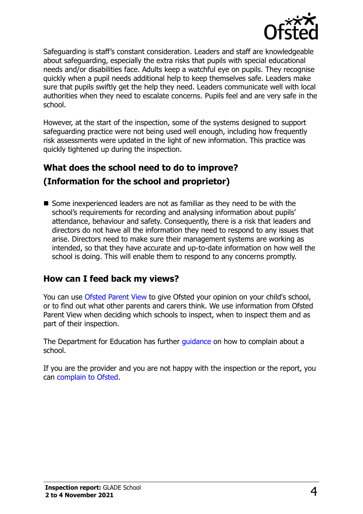

Safeguarding is staff's constant consideration. Leaders and staff are knowledgeable about safeguarding, especially the extra risks that pupils with special educational needs and/or disabilities face. Adults keep a watchful eye on pupils. They recognise quickly when a pupil needs additional help to keep themselves safe. Leaders make sure that pupils swiftly get the help they need. Leaders communicate well with local authorities when they need to escalate concerns. Pupils feel and are very safe in the school.

However, at the start of the inspection, some of the systems designed to support safeguarding practice were not being used well enough, including how frequently risk assessments were updated in the light of new information. This practice was quickly tightened up during the inspection.

## **What does the school need to do to improve? (Information for the school and proprietor)**

Some inexperienced leaders are not as familiar as they need to be with the school's requirements for recording and analysing information about pupils' attendance, behaviour and safety. Consequently, there is a risk that leaders and directors do not have all the information they need to respond to any issues that arise. Directors need to make sure their management systems are working as intended, so that they have accurate and up-to-date information on how well the school is doing. This will enable them to respond to any concerns promptly.

### **How can I feed back my views?**

You can use [Ofsted Parent View](http://parentview.ofsted.gov.uk/) to give Ofsted your opinion on your child's school, or to find out what other parents and carers think. We use information from Ofsted Parent View when deciding which schools to inspect, when to inspect them and as part of their inspection.

The Department for Education has further quidance on how to complain about a school.

If you are the provider and you are not happy with the inspection or the report, you can [complain to Ofsted.](http://www.gov.uk/complain-ofsted-report)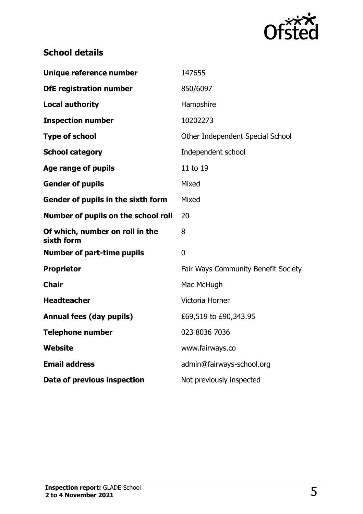

# **School details**

| Unique reference number                       | 147655                              |
|-----------------------------------------------|-------------------------------------|
| <b>DfE registration number</b>                | 850/6097                            |
| <b>Local authority</b>                        | Hampshire                           |
| <b>Inspection number</b>                      | 10202273                            |
| <b>Type of school</b>                         | Other Independent Special School    |
| <b>School category</b>                        | Independent school                  |
| Age range of pupils                           | 11 to 19                            |
| <b>Gender of pupils</b>                       | Mixed                               |
| Gender of pupils in the sixth form            | Mixed                               |
| Number of pupils on the school roll           | 20                                  |
| Of which, number on roll in the<br>sixth form | 8                                   |
| <b>Number of part-time pupils</b>             | $\overline{0}$                      |
| <b>Proprietor</b>                             | Fair Ways Community Benefit Society |
| <b>Chair</b>                                  | Mac McHugh                          |
| <b>Headteacher</b>                            | Victoria Horner                     |
| <b>Annual fees (day pupils)</b>               | £69,519 to £90,343.95               |
| <b>Telephone number</b>                       | 023 8036 7036                       |
| Website                                       | www.fairways.co                     |
| <b>Email address</b>                          | admin@fairways-school.org           |
| Date of previous inspection                   | Not previously inspected            |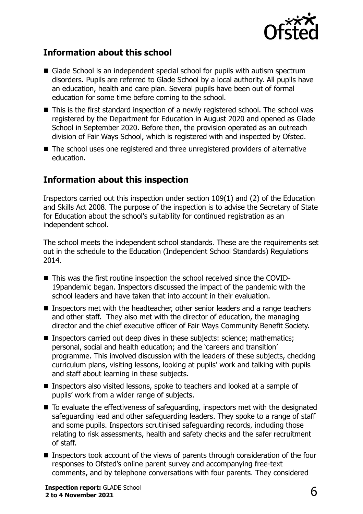

#### **Information about this school**

- Glade School is an independent special school for pupils with autism spectrum disorders. Pupils are referred to Glade School by a local authority. All pupils have an education, health and care plan. Several pupils have been out of formal education for some time before coming to the school.
- This is the first standard inspection of a newly registered school. The school was registered by the Department for Education in August 2020 and opened as Glade School in September 2020. Before then, the provision operated as an outreach division of Fair Ways School, which is registered with and inspected by Ofsted.
- The school uses one registered and three unregistered providers of alternative education.

### **Information about this inspection**

Inspectors carried out this inspection under section 109(1) and (2) of the Education and Skills Act 2008. The purpose of the inspection is to advise the Secretary of State for Education about the school's suitability for continued registration as an independent school.

The school meets the independent school standards. These are the requirements set out in the schedule to the Education (Independent School Standards) Regulations 2014.

- This was the first routine inspection the school received since the COVID-19pandemic began. Inspectors discussed the impact of the pandemic with the school leaders and have taken that into account in their evaluation.
- Inspectors met with the headteacher, other senior leaders and a range teachers and other staff. They also met with the director of education, the managing director and the chief executive officer of Fair Ways Community Benefit Society.
- **Inspectors carried out deep dives in these subjects: science; mathematics;** personal, social and health education; and the 'careers and transition' programme. This involved discussion with the leaders of these subjects, checking curriculum plans, visiting lessons, looking at pupils' work and talking with pupils and staff about learning in these subjects.
- Inspectors also visited lessons, spoke to teachers and looked at a sample of pupils' work from a wider range of subjects.
- To evaluate the effectiveness of safeguarding, inspectors met with the designated safeguarding lead and other safeguarding leaders. They spoke to a range of staff and some pupils. Inspectors scrutinised safeguarding records, including those relating to risk assessments, health and safety checks and the safer recruitment of staff.
- Inspectors took account of the views of parents through consideration of the four responses to Ofsted's online parent survey and accompanying free-text comments, and by telephone conversations with four parents. They considered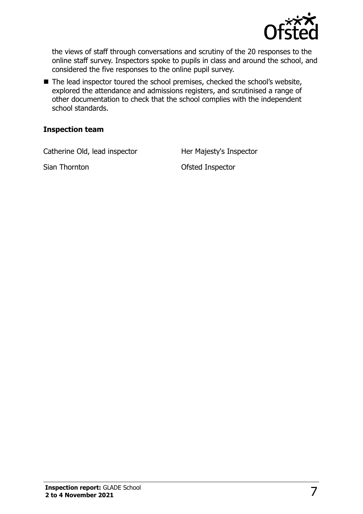

the views of staff through conversations and scrutiny of the 20 responses to the online staff survey. Inspectors spoke to pupils in class and around the school, and considered the five responses to the online pupil survey.

■ The lead inspector toured the school premises, checked the school's website, explored the attendance and admissions registers, and scrutinised a range of other documentation to check that the school complies with the independent school standards.

#### **Inspection team**

Catherine Old, lead inspector **Her Majesty's Inspector** 

Sian Thornton **Contract Contract Contract Contract Contract Contract Contract Contract Contract Contract Contract Contract Contract Contract Contract Contract Contract Contract Contract Contract Contract Contract Contract**